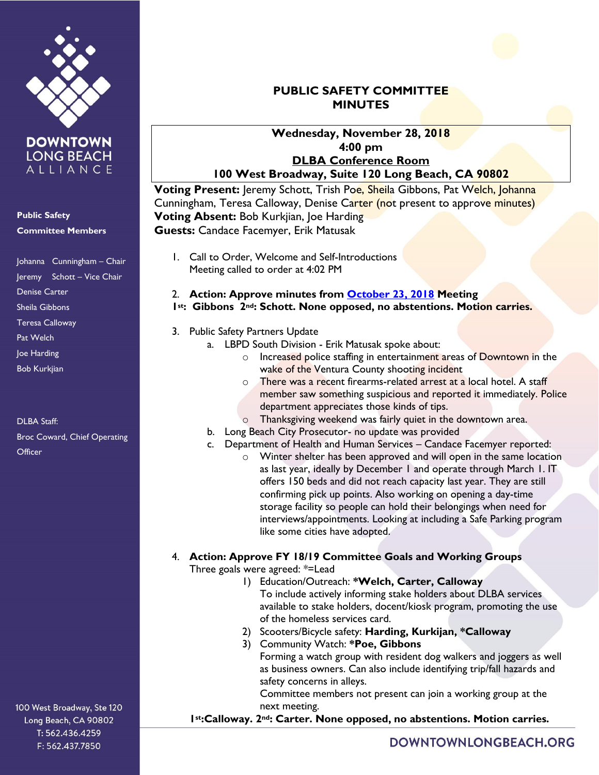

**Public Safety**

ALLIANCE

#### **Committee Members**

Johanna Cunningham – Chair Jeremy Schott – Vice Chair Denise Carter Sheila Gibbons Teresa Calloway Pat Welch Joe Harding Bob Kurkjian

DLBA Staff: Broc Coward, Chief Operating **Officer** 

## **PUBLIC SAFETY COMMITTEE MINUTES**

#### **Wednesday, November 28, 2018 4:00 pm DLBA Conference Room 100 West Broadway, Suite 120 Long Beach, CA 90802**

**Voting Present:** Jeremy Schott, Trish Poe, Sheila Gibbons, Pat Welch, Johanna Cunningham, Teresa Calloway, Denise Carter (not present to approve minutes) **Voting Absent:** Bob Kurkjian, Joe Harding **Guests:** Candace Facemyer, Erik Matusak

1. Call to Order, Welcome and Self-Introductions Meeting called to order at 4:02 PM

#### 2. **Action: Approve minutes from [October 23, 2018](https://downtownlongbeach.org/wp-content/uploads/PS-Minutes-10-23-18.pdf) Meeting 1st: Gibbons 2nd: Schott. None opposed, no abstentions. Motion carries.**

- 3. Public Safety Partners Update
	- a. LBPD South Division Erik Matusak spoke about:
		- o Increased police staffing in entertainment areas of Downtown in the wake of the Ventura County shooting incident
		- o There was a recent firearms-related arrest at a local hotel. A staff member saw something suspicious and reported it immediately. Police department appreciates those kinds of tips.
		- Thanksgiving weekend was fairly quiet in the downtown area.
	- b. Long Beach City Prosecutor- no update was provided
	- c. Department of Health and Human Services Candace Facemyer reported:
		- o Winter shelter has been approved and will open in the same location as last year, ideally by December 1 and operate through March 1. IT offers 150 beds and did not reach capacity last year. They are still confirming pick up points. Also working on opening a day-time storage facility so people can hold their belongings when need for interviews/appointments. Looking at including a Safe Parking program like some cities have adopted.
- 4. **Action: Approve FY 18/19 Committee Goals and Working Groups**

Three goals were agreed: \*=Lead

- 1) Education/Outreach: **\*Welch, Carter, Calloway** To include actively informing stake holders about DLBA services available to stake holders, docent/kiosk program, promoting the use of the homeless services card.
- 2) Scooters/Bicycle safety: **Harding, Kurkijan, \*Calloway**
- 3) Community Watch: **\*Poe, Gibbons** Forming a watch group with resident dog walkers and joggers as well as business owners. Can also include identifying trip/fall hazards and safety concerns in alleys.

Committee members not present can join a working group at the next meeting.

### **1st:Calloway. 2nd: Carter. None opposed, no abstentions. Motion carries.**

100 West Broadway, Ste 120 Long Beach, CA 90802 T: 562.436.4259 F: 562.437.7850